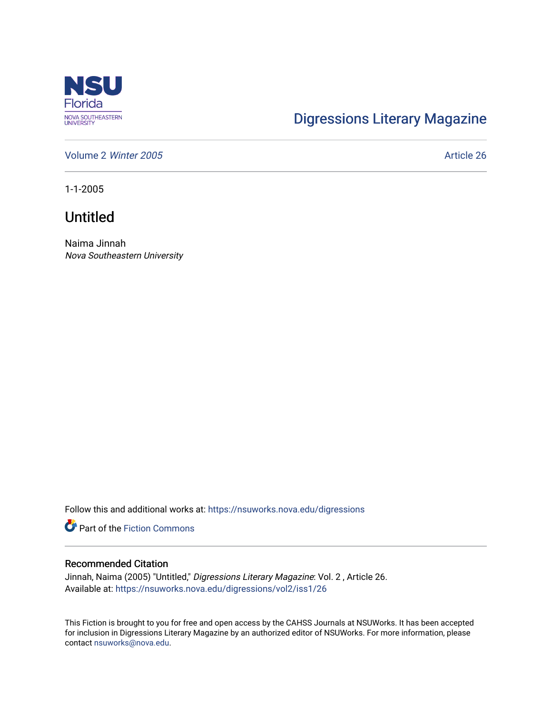

## [Digressions Literary Magazine](https://nsuworks.nova.edu/digressions)

[Volume 2](https://nsuworks.nova.edu/digressions/vol2) Winter 2005 **Article 26** Article 26

1-1-2005

## Untitled

Naima Jinnah Nova Southeastern University

Follow this and additional works at: [https://nsuworks.nova.edu/digressions](https://nsuworks.nova.edu/digressions?utm_source=nsuworks.nova.edu%2Fdigressions%2Fvol2%2Fiss1%2F26&utm_medium=PDF&utm_campaign=PDFCoverPages) 

**Part of the Fiction Commons** 

## Recommended Citation

Jinnah, Naima (2005) "Untitled," Digressions Literary Magazine: Vol. 2 , Article 26. Available at: [https://nsuworks.nova.edu/digressions/vol2/iss1/26](https://nsuworks.nova.edu/digressions/vol2/iss1/26?utm_source=nsuworks.nova.edu%2Fdigressions%2Fvol2%2Fiss1%2F26&utm_medium=PDF&utm_campaign=PDFCoverPages) 

This Fiction is brought to you for free and open access by the CAHSS Journals at NSUWorks. It has been accepted for inclusion in Digressions Literary Magazine by an authorized editor of NSUWorks. For more information, please contact [nsuworks@nova.edu.](mailto:nsuworks@nova.edu)